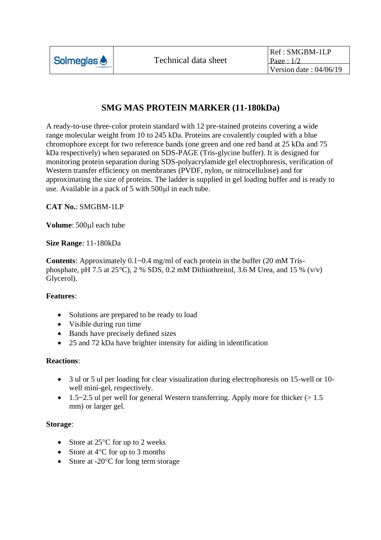

# **SMG MAS PROTEIN MARKER (11-180kDa)**

A ready-to-use three-color protein standard with 12 pre-stained proteins covering a wide range molecular weight from 10 to 245 kDa. Proteins are covalently coupled with a blue chromophore except for two reference bands (one green and one red band at 25 kDa and 75 kDa respectively) when separated on SDS-PAGE (Tris-glycine buffer). It is designed for monitoring protein separation during SDS-polyacrylamide gel electrophoresis, verification of Western transfer efficiency on membranes (PVDF, nylon, or nitrocellulose) and for approximating the size of proteins. The ladder is supplied in gel loading buffer and is ready to use. Available in a pack of 5 with 500 $\mu$ l in each tube.

**CAT No.**: SMGBM-1LP

**Volume**: 500µl each tube

## **Size Range**: 11-180kDa

**Contents**: Approximately 0.1~0.4 mg/ml of each protein in the buffer (20 mM Trisphosphate, pH 7.5 at 25 $^{\circ}$ C), 2 % SDS, 0.2 mM Dithiothreitol, 3.6 M Urea, and 15 % (v/v) Glycerol).

## **Features**:

- Solutions are prepared to be ready to load
- Visible during run time
- Bands have precisely defined sizes
- 25 and 72 kDa have brighter intensity for aiding in identification

### **Reactions**:

- 3 ul or 5 ul per loading for clear visualization during electrophoresis on 15-well or 10 well mini-gel, respectively.
- 1.5~2.5 ul per well for general Western transferring. Apply more for thicker  $(>1.5$ mm) or larger gel.

### **Storage**:

- Store at  $25^{\circ}$ C for up to 2 weeks
- Store at  $4^{\circ}$ C for up to 3 months
- Store at  $-20^{\circ}$ C for long term storage